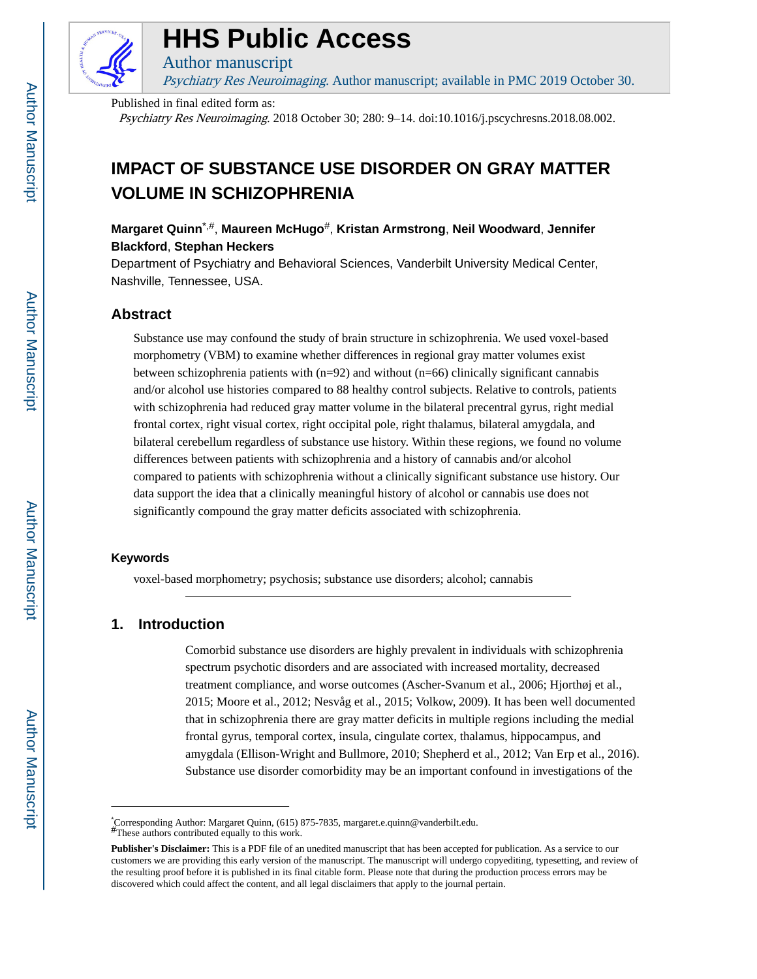

# **HHS Public Access**

Psychiatry Res Neuroimaging. Author manuscript; available in PMC 2019 October 30.

Published in final edited form as:

Author manuscript

Psychiatry Res Neuroimaging. 2018 October 30; 280: 9–14. doi:10.1016/j.pscychresns.2018.08.002.

## **IMPACT OF SUBSTANCE USE DISORDER ON GRAY MATTER VOLUME IN SCHIZOPHRENIA**

**Margaret Quinn**\*,#, **Maureen McHugo**#, **Kristan Armstrong**, **Neil Woodward**, **Jennifer Blackford**, **Stephan Heckers**

Department of Psychiatry and Behavioral Sciences, Vanderbilt University Medical Center, Nashville, Tennessee, USA.

## **Abstract**

Substance use may confound the study of brain structure in schizophrenia. We used voxel-based morphometry (VBM) to examine whether differences in regional gray matter volumes exist between schizophrenia patients with  $(n=92)$  and without  $(n=66)$  clinically significant cannabis and/or alcohol use histories compared to 88 healthy control subjects. Relative to controls, patients with schizophrenia had reduced gray matter volume in the bilateral precentral gyrus, right medial frontal cortex, right visual cortex, right occipital pole, right thalamus, bilateral amygdala, and bilateral cerebellum regardless of substance use history. Within these regions, we found no volume differences between patients with schizophrenia and a history of cannabis and/or alcohol compared to patients with schizophrenia without a clinically significant substance use history. Our data support the idea that a clinically meaningful history of alcohol or cannabis use does not significantly compound the gray matter deficits associated with schizophrenia.

#### **Keywords**

voxel-based morphometry; psychosis; substance use disorders; alcohol; cannabis

## **1. Introduction**

Comorbid substance use disorders are highly prevalent in individuals with schizophrenia spectrum psychotic disorders and are associated with increased mortality, decreased treatment compliance, and worse outcomes (Ascher-Svanum et al., 2006; Hjorthøj et al., 2015; Moore et al., 2012; Nesvåg et al., 2015; Volkow, 2009). It has been well documented that in schizophrenia there are gray matter deficits in multiple regions including the medial frontal gyrus, temporal cortex, insula, cingulate cortex, thalamus, hippocampus, and amygdala (Ellison-Wright and Bullmore, 2010; Shepherd et al., 2012; Van Erp et al., 2016). Substance use disorder comorbidity may be an important confound in investigations of the

<sup>\*</sup>Corresponding Author: Margaret Quinn, (615) 875-7835, margaret.e.quinn@vanderbilt.edu. #These authors contributed equally to this work.

**Publisher's Disclaimer:** This is a PDF file of an unedited manuscript that has been accepted for publication. As a service to our customers we are providing this early version of the manuscript. The manuscript will undergo copyediting, typesetting, and review of the resulting proof before it is published in its final citable form. Please note that during the production process errors may be discovered which could affect the content, and all legal disclaimers that apply to the journal pertain.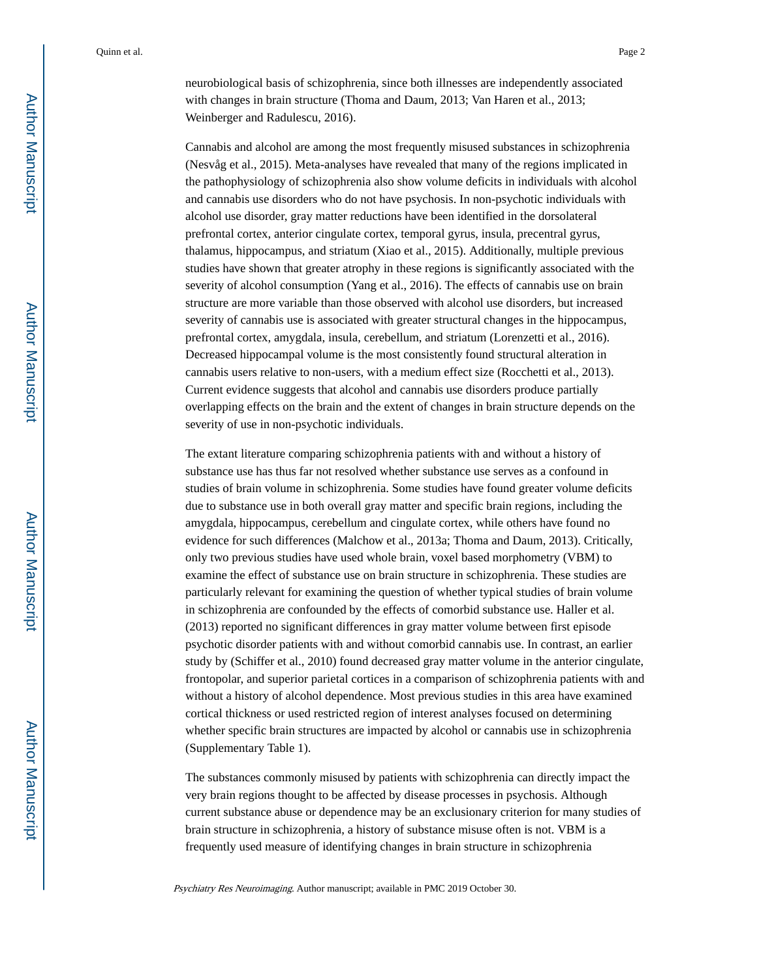neurobiological basis of schizophrenia, since both illnesses are independently associated with changes in brain structure (Thoma and Daum, 2013; Van Haren et al., 2013; Weinberger and Radulescu, 2016).

Cannabis and alcohol are among the most frequently misused substances in schizophrenia (Nesvåg et al., 2015). Meta-analyses have revealed that many of the regions implicated in the pathophysiology of schizophrenia also show volume deficits in individuals with alcohol and cannabis use disorders who do not have psychosis. In non-psychotic individuals with alcohol use disorder, gray matter reductions have been identified in the dorsolateral prefrontal cortex, anterior cingulate cortex, temporal gyrus, insula, precentral gyrus, thalamus, hippocampus, and striatum (Xiao et al., 2015). Additionally, multiple previous studies have shown that greater atrophy in these regions is significantly associated with the severity of alcohol consumption (Yang et al., 2016). The effects of cannabis use on brain structure are more variable than those observed with alcohol use disorders, but increased severity of cannabis use is associated with greater structural changes in the hippocampus, prefrontal cortex, amygdala, insula, cerebellum, and striatum (Lorenzetti et al., 2016). Decreased hippocampal volume is the most consistently found structural alteration in cannabis users relative to non-users, with a medium effect size (Rocchetti et al., 2013). Current evidence suggests that alcohol and cannabis use disorders produce partially overlapping effects on the brain and the extent of changes in brain structure depends on the severity of use in non-psychotic individuals.

The extant literature comparing schizophrenia patients with and without a history of substance use has thus far not resolved whether substance use serves as a confound in studies of brain volume in schizophrenia. Some studies have found greater volume deficits due to substance use in both overall gray matter and specific brain regions, including the amygdala, hippocampus, cerebellum and cingulate cortex, while others have found no evidence for such differences (Malchow et al., 2013a; Thoma and Daum, 2013). Critically, only two previous studies have used whole brain, voxel based morphometry (VBM) to examine the effect of substance use on brain structure in schizophrenia. These studies are particularly relevant for examining the question of whether typical studies of brain volume in schizophrenia are confounded by the effects of comorbid substance use. Haller et al. (2013) reported no significant differences in gray matter volume between first episode psychotic disorder patients with and without comorbid cannabis use. In contrast, an earlier study by (Schiffer et al., 2010) found decreased gray matter volume in the anterior cingulate, frontopolar, and superior parietal cortices in a comparison of schizophrenia patients with and without a history of alcohol dependence. Most previous studies in this area have examined cortical thickness or used restricted region of interest analyses focused on determining whether specific brain structures are impacted by alcohol or cannabis use in schizophrenia (Supplementary Table 1).

The substances commonly misused by patients with schizophrenia can directly impact the very brain regions thought to be affected by disease processes in psychosis. Although current substance abuse or dependence may be an exclusionary criterion for many studies of brain structure in schizophrenia, a history of substance misuse often is not. VBM is a frequently used measure of identifying changes in brain structure in schizophrenia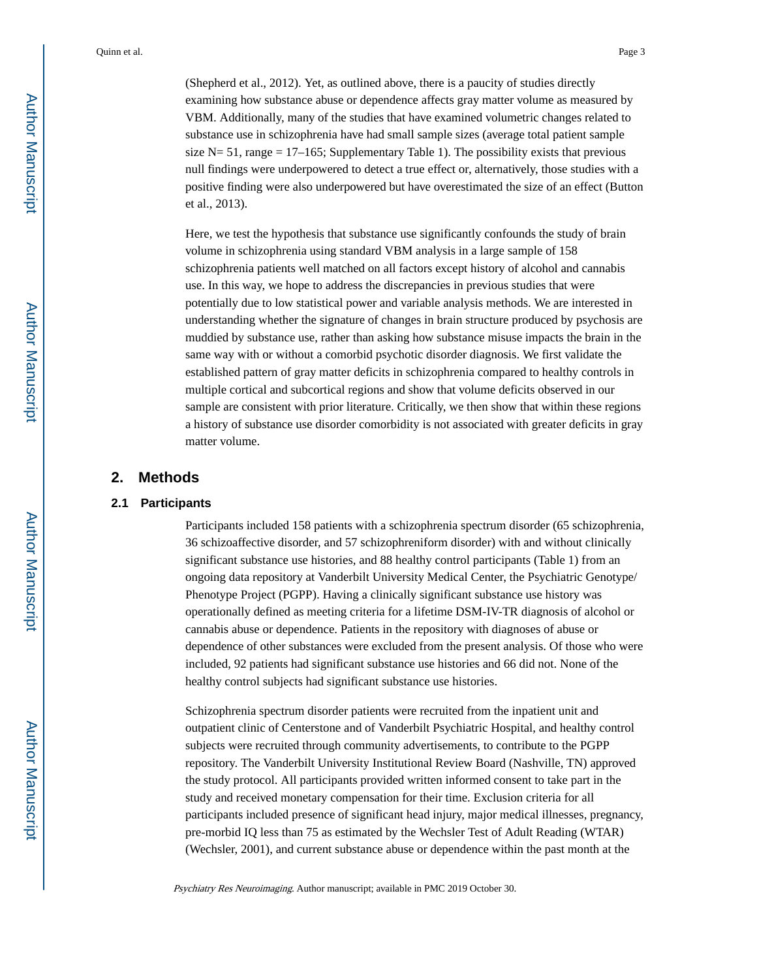(Shepherd et al., 2012). Yet, as outlined above, there is a paucity of studies directly examining how substance abuse or dependence affects gray matter volume as measured by VBM. Additionally, many of the studies that have examined volumetric changes related to substance use in schizophrenia have had small sample sizes (average total patient sample size  $N= 51$ , range = 17–165; Supplementary Table 1). The possibility exists that previous null findings were underpowered to detect a true effect or, alternatively, those studies with a positive finding were also underpowered but have overestimated the size of an effect (Button et al., 2013).

Here, we test the hypothesis that substance use significantly confounds the study of brain volume in schizophrenia using standard VBM analysis in a large sample of 158 schizophrenia patients well matched on all factors except history of alcohol and cannabis use. In this way, we hope to address the discrepancies in previous studies that were potentially due to low statistical power and variable analysis methods. We are interested in understanding whether the signature of changes in brain structure produced by psychosis are muddied by substance use, rather than asking how substance misuse impacts the brain in the same way with or without a comorbid psychotic disorder diagnosis. We first validate the established pattern of gray matter deficits in schizophrenia compared to healthy controls in multiple cortical and subcortical regions and show that volume deficits observed in our sample are consistent with prior literature. Critically, we then show that within these regions a history of substance use disorder comorbidity is not associated with greater deficits in gray matter volume.

## **2. Methods**

#### **2.1 Participants**

Participants included 158 patients with a schizophrenia spectrum disorder (65 schizophrenia, 36 schizoaffective disorder, and 57 schizophreniform disorder) with and without clinically significant substance use histories, and 88 healthy control participants (Table 1) from an ongoing data repository at Vanderbilt University Medical Center, the Psychiatric Genotype/ Phenotype Project (PGPP). Having a clinically significant substance use history was operationally defined as meeting criteria for a lifetime DSM-IV-TR diagnosis of alcohol or cannabis abuse or dependence. Patients in the repository with diagnoses of abuse or dependence of other substances were excluded from the present analysis. Of those who were included, 92 patients had significant substance use histories and 66 did not. None of the healthy control subjects had significant substance use histories.

Schizophrenia spectrum disorder patients were recruited from the inpatient unit and outpatient clinic of Centerstone and of Vanderbilt Psychiatric Hospital, and healthy control subjects were recruited through community advertisements, to contribute to the PGPP repository. The Vanderbilt University Institutional Review Board (Nashville, TN) approved the study protocol. All participants provided written informed consent to take part in the study and received monetary compensation for their time. Exclusion criteria for all participants included presence of significant head injury, major medical illnesses, pregnancy, pre-morbid IQ less than 75 as estimated by the Wechsler Test of Adult Reading (WTAR) (Wechsler, 2001), and current substance abuse or dependence within the past month at the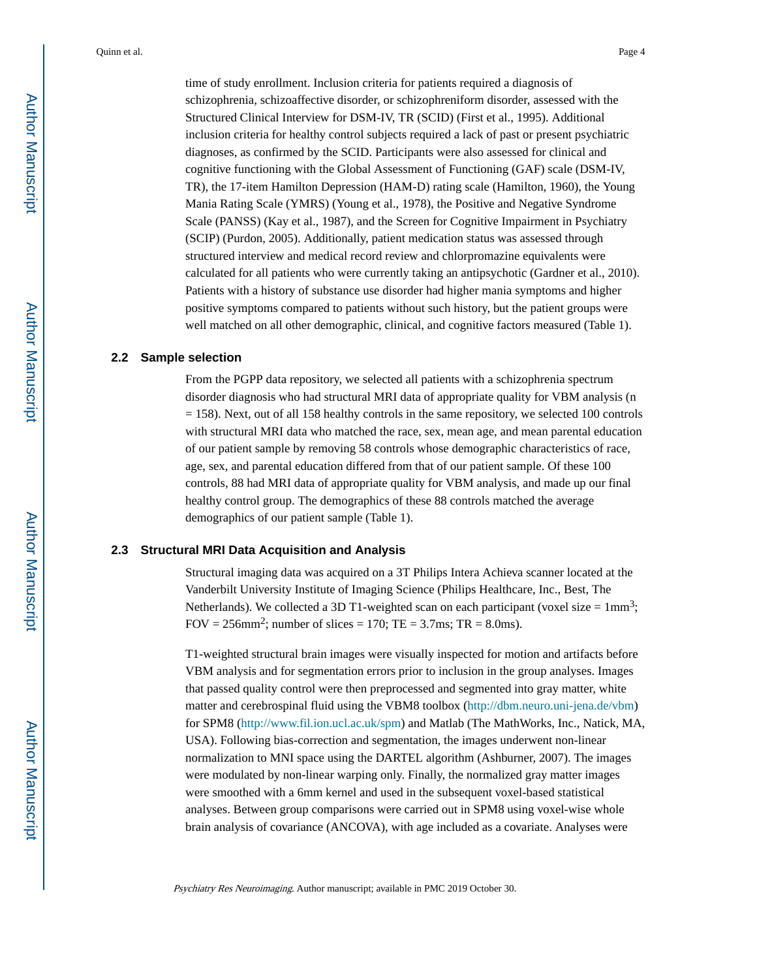time of study enrollment. Inclusion criteria for patients required a diagnosis of schizophrenia, schizoaffective disorder, or schizophreniform disorder, assessed with the Structured Clinical Interview for DSM-IV, TR (SCID) (First et al., 1995). Additional inclusion criteria for healthy control subjects required a lack of past or present psychiatric diagnoses, as confirmed by the SCID. Participants were also assessed for clinical and cognitive functioning with the Global Assessment of Functioning (GAF) scale (DSM-IV, TR), the 17-item Hamilton Depression (HAM-D) rating scale (Hamilton, 1960), the Young Mania Rating Scale (YMRS) (Young et al., 1978), the Positive and Negative Syndrome Scale (PANSS) (Kay et al., 1987), and the Screen for Cognitive Impairment in Psychiatry (SCIP) (Purdon, 2005). Additionally, patient medication status was assessed through structured interview and medical record review and chlorpromazine equivalents were

calculated for all patients who were currently taking an antipsychotic (Gardner et al., 2010). Patients with a history of substance use disorder had higher mania symptoms and higher positive symptoms compared to patients without such history, but the patient groups were well matched on all other demographic, clinical, and cognitive factors measured (Table 1).

#### **2.2 Sample selection**

From the PGPP data repository, we selected all patients with a schizophrenia spectrum disorder diagnosis who had structural MRI data of appropriate quality for VBM analysis (n = 158). Next, out of all 158 healthy controls in the same repository, we selected 100 controls with structural MRI data who matched the race, sex, mean age, and mean parental education of our patient sample by removing 58 controls whose demographic characteristics of race, age, sex, and parental education differed from that of our patient sample. Of these 100 controls, 88 had MRI data of appropriate quality for VBM analysis, and made up our final healthy control group. The demographics of these 88 controls matched the average demographics of our patient sample (Table 1).

#### **2.3 Structural MRI Data Acquisition and Analysis**

Structural imaging data was acquired on a 3T Philips Intera Achieva scanner located at the Vanderbilt University Institute of Imaging Science (Philips Healthcare, Inc., Best, The Netherlands). We collected a 3D T1-weighted scan on each participant (voxel size =  $1mm<sup>3</sup>$ ; FOV =  $256$ mm<sup>2</sup>; number of slices =  $170$ ; TE =  $3.7$ ms; TR =  $8.0$ ms).

T1-weighted structural brain images were visually inspected for motion and artifacts before VBM analysis and for segmentation errors prior to inclusion in the group analyses. Images that passed quality control were then preprocessed and segmented into gray matter, white matter and cerebrospinal fluid using the VBM8 toolbox [\(http://dbm.neuro.uni-jena.de/vbm](http://dbm.neuro.uni-jena.de/vbm)) for SPM8 (<http://www.fil.ion.ucl.ac.uk/spm>) and Matlab (The MathWorks, Inc., Natick, MA, USA). Following bias-correction and segmentation, the images underwent non-linear normalization to MNI space using the DARTEL algorithm (Ashburner, 2007). The images were modulated by non-linear warping only. Finally, the normalized gray matter images were smoothed with a 6mm kernel and used in the subsequent voxel-based statistical analyses. Between group comparisons were carried out in SPM8 using voxel-wise whole brain analysis of covariance (ANCOVA), with age included as a covariate. Analyses were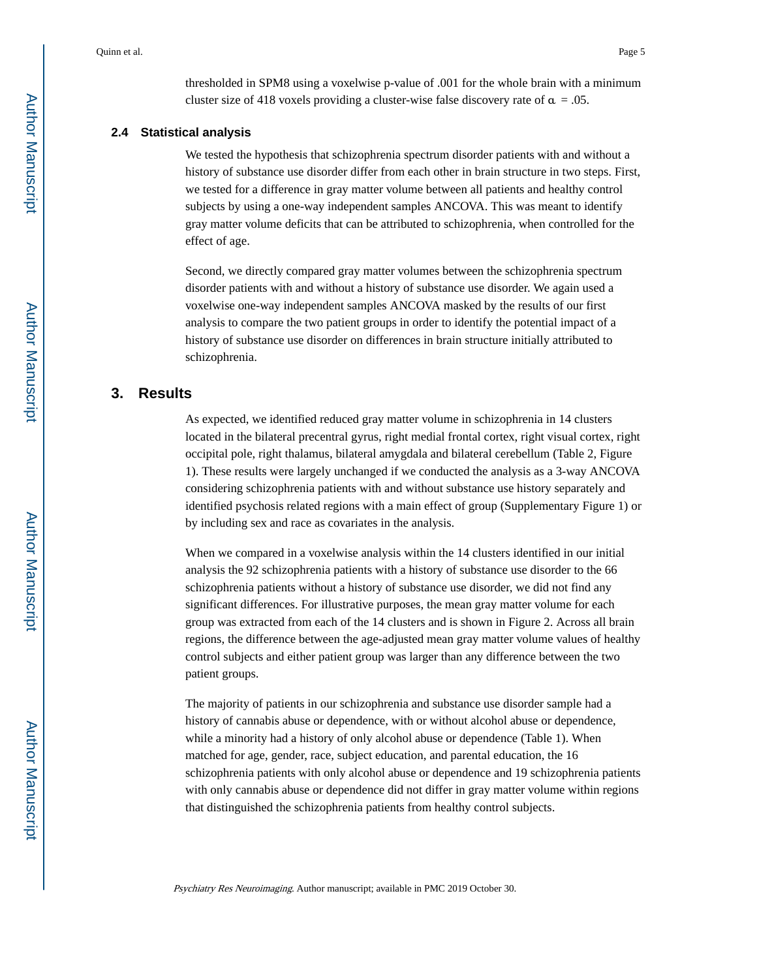#### **2.4 Statistical analysis**

We tested the hypothesis that schizophrenia spectrum disorder patients with and without a history of substance use disorder differ from each other in brain structure in two steps. First, we tested for a difference in gray matter volume between all patients and healthy control subjects by using a one-way independent samples ANCOVA. This was meant to identify gray matter volume deficits that can be attributed to schizophrenia, when controlled for the effect of age.

Second, we directly compared gray matter volumes between the schizophrenia spectrum disorder patients with and without a history of substance use disorder. We again used a voxelwise one-way independent samples ANCOVA masked by the results of our first analysis to compare the two patient groups in order to identify the potential impact of a history of substance use disorder on differences in brain structure initially attributed to schizophrenia.

#### **3. Results**

As expected, we identified reduced gray matter volume in schizophrenia in 14 clusters located in the bilateral precentral gyrus, right medial frontal cortex, right visual cortex, right occipital pole, right thalamus, bilateral amygdala and bilateral cerebellum (Table 2, Figure 1). These results were largely unchanged if we conducted the analysis as a 3-way ANCOVA considering schizophrenia patients with and without substance use history separately and identified psychosis related regions with a main effect of group (Supplementary Figure 1) or by including sex and race as covariates in the analysis.

When we compared in a voxelwise analysis within the 14 clusters identified in our initial analysis the 92 schizophrenia patients with a history of substance use disorder to the 66 schizophrenia patients without a history of substance use disorder, we did not find any significant differences. For illustrative purposes, the mean gray matter volume for each group was extracted from each of the 14 clusters and is shown in Figure 2. Across all brain regions, the difference between the age-adjusted mean gray matter volume values of healthy control subjects and either patient group was larger than any difference between the two patient groups.

The majority of patients in our schizophrenia and substance use disorder sample had a history of cannabis abuse or dependence, with or without alcohol abuse or dependence, while a minority had a history of only alcohol abuse or dependence (Table 1). When matched for age, gender, race, subject education, and parental education, the 16 schizophrenia patients with only alcohol abuse or dependence and 19 schizophrenia patients with only cannabis abuse or dependence did not differ in gray matter volume within regions that distinguished the schizophrenia patients from healthy control subjects.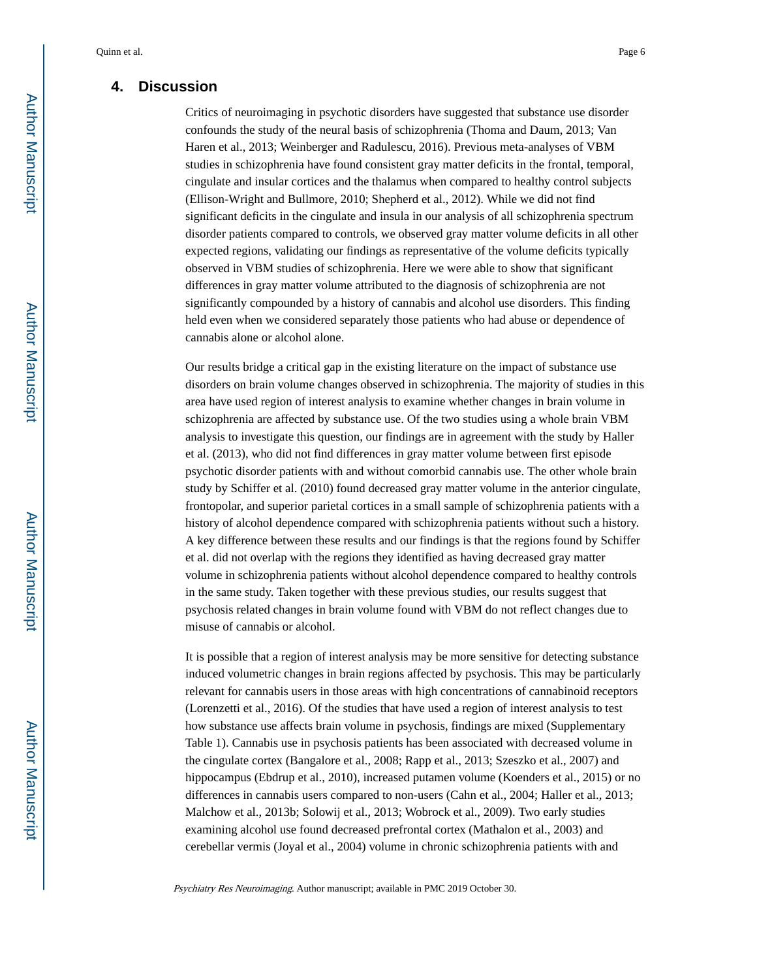#### **4. Discussion**

Critics of neuroimaging in psychotic disorders have suggested that substance use disorder confounds the study of the neural basis of schizophrenia (Thoma and Daum, 2013; Van Haren et al., 2013; Weinberger and Radulescu, 2016). Previous meta-analyses of VBM studies in schizophrenia have found consistent gray matter deficits in the frontal, temporal, cingulate and insular cortices and the thalamus when compared to healthy control subjects (Ellison-Wright and Bullmore, 2010; Shepherd et al., 2012). While we did not find significant deficits in the cingulate and insula in our analysis of all schizophrenia spectrum disorder patients compared to controls, we observed gray matter volume deficits in all other expected regions, validating our findings as representative of the volume deficits typically observed in VBM studies of schizophrenia. Here we were able to show that significant differences in gray matter volume attributed to the diagnosis of schizophrenia are not significantly compounded by a history of cannabis and alcohol use disorders. This finding held even when we considered separately those patients who had abuse or dependence of cannabis alone or alcohol alone.

Our results bridge a critical gap in the existing literature on the impact of substance use disorders on brain volume changes observed in schizophrenia. The majority of studies in this area have used region of interest analysis to examine whether changes in brain volume in schizophrenia are affected by substance use. Of the two studies using a whole brain VBM analysis to investigate this question, our findings are in agreement with the study by Haller et al. (2013), who did not find differences in gray matter volume between first episode psychotic disorder patients with and without comorbid cannabis use. The other whole brain study by Schiffer et al. (2010) found decreased gray matter volume in the anterior cingulate, frontopolar, and superior parietal cortices in a small sample of schizophrenia patients with a history of alcohol dependence compared with schizophrenia patients without such a history. A key difference between these results and our findings is that the regions found by Schiffer et al. did not overlap with the regions they identified as having decreased gray matter volume in schizophrenia patients without alcohol dependence compared to healthy controls in the same study. Taken together with these previous studies, our results suggest that psychosis related changes in brain volume found with VBM do not reflect changes due to misuse of cannabis or alcohol.

It is possible that a region of interest analysis may be more sensitive for detecting substance induced volumetric changes in brain regions affected by psychosis. This may be particularly relevant for cannabis users in those areas with high concentrations of cannabinoid receptors (Lorenzetti et al., 2016). Of the studies that have used a region of interest analysis to test how substance use affects brain volume in psychosis, findings are mixed (Supplementary Table 1). Cannabis use in psychosis patients has been associated with decreased volume in the cingulate cortex (Bangalore et al., 2008; Rapp et al., 2013; Szeszko et al., 2007) and hippocampus (Ebdrup et al., 2010), increased putamen volume (Koenders et al., 2015) or no differences in cannabis users compared to non-users (Cahn et al., 2004; Haller et al., 2013; Malchow et al., 2013b; Solowij et al., 2013; Wobrock et al., 2009). Two early studies examining alcohol use found decreased prefrontal cortex (Mathalon et al., 2003) and cerebellar vermis (Joyal et al., 2004) volume in chronic schizophrenia patients with and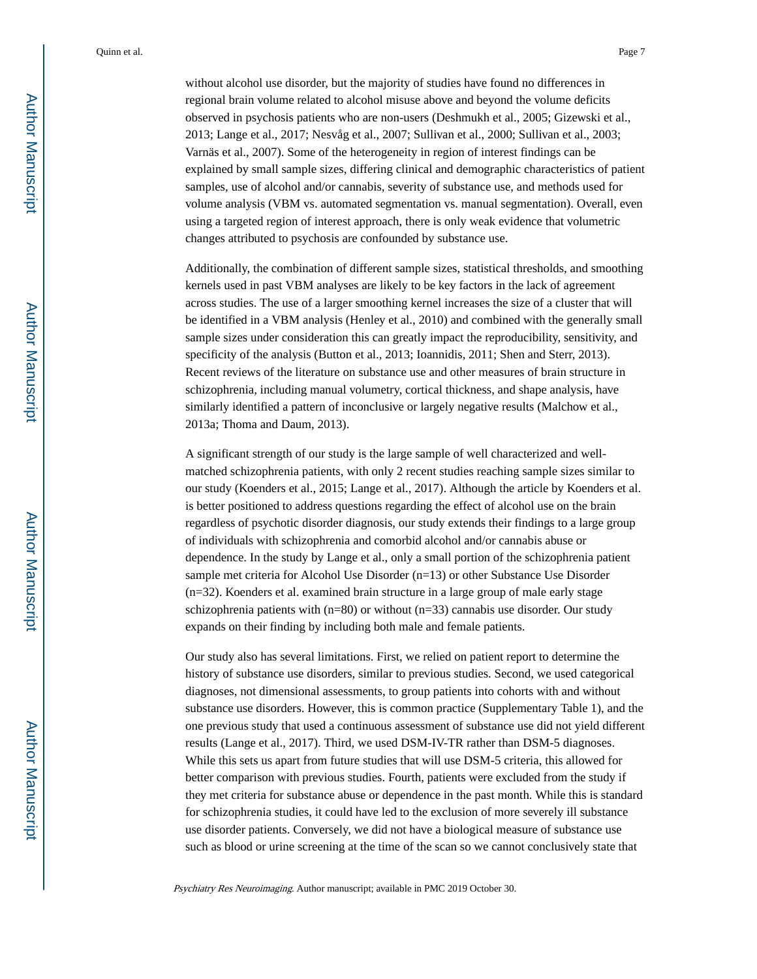without alcohol use disorder, but the majority of studies have found no differences in regional brain volume related to alcohol misuse above and beyond the volume deficits observed in psychosis patients who are non-users (Deshmukh et al., 2005; Gizewski et al., 2013; Lange et al., 2017; Nesvåg et al., 2007; Sullivan et al., 2000; Sullivan et al., 2003; Varnäs et al., 2007). Some of the heterogeneity in region of interest findings can be explained by small sample sizes, differing clinical and demographic characteristics of patient samples, use of alcohol and/or cannabis, severity of substance use, and methods used for volume analysis (VBM vs. automated segmentation vs. manual segmentation). Overall, even using a targeted region of interest approach, there is only weak evidence that volumetric changes attributed to psychosis are confounded by substance use.

Additionally, the combination of different sample sizes, statistical thresholds, and smoothing kernels used in past VBM analyses are likely to be key factors in the lack of agreement across studies. The use of a larger smoothing kernel increases the size of a cluster that will be identified in a VBM analysis (Henley et al., 2010) and combined with the generally small sample sizes under consideration this can greatly impact the reproducibility, sensitivity, and specificity of the analysis (Button et al., 2013; Ioannidis, 2011; Shen and Sterr, 2013). Recent reviews of the literature on substance use and other measures of brain structure in schizophrenia, including manual volumetry, cortical thickness, and shape analysis, have similarly identified a pattern of inconclusive or largely negative results (Malchow et al., 2013a; Thoma and Daum, 2013).

A significant strength of our study is the large sample of well characterized and wellmatched schizophrenia patients, with only 2 recent studies reaching sample sizes similar to our study (Koenders et al., 2015; Lange et al., 2017). Although the article by Koenders et al. is better positioned to address questions regarding the effect of alcohol use on the brain regardless of psychotic disorder diagnosis, our study extends their findings to a large group of individuals with schizophrenia and comorbid alcohol and/or cannabis abuse or dependence. In the study by Lange et al., only a small portion of the schizophrenia patient sample met criteria for Alcohol Use Disorder (n=13) or other Substance Use Disorder (n=32). Koenders et al. examined brain structure in a large group of male early stage schizophrenia patients with  $(n=80)$  or without  $(n=33)$  cannabis use disorder. Our study expands on their finding by including both male and female patients.

Our study also has several limitations. First, we relied on patient report to determine the history of substance use disorders, similar to previous studies. Second, we used categorical diagnoses, not dimensional assessments, to group patients into cohorts with and without substance use disorders. However, this is common practice (Supplementary Table 1), and the one previous study that used a continuous assessment of substance use did not yield different results (Lange et al., 2017). Third, we used DSM-IV-TR rather than DSM-5 diagnoses. While this sets us apart from future studies that will use DSM-5 criteria, this allowed for better comparison with previous studies. Fourth, patients were excluded from the study if they met criteria for substance abuse or dependence in the past month. While this is standard for schizophrenia studies, it could have led to the exclusion of more severely ill substance use disorder patients. Conversely, we did not have a biological measure of substance use such as blood or urine screening at the time of the scan so we cannot conclusively state that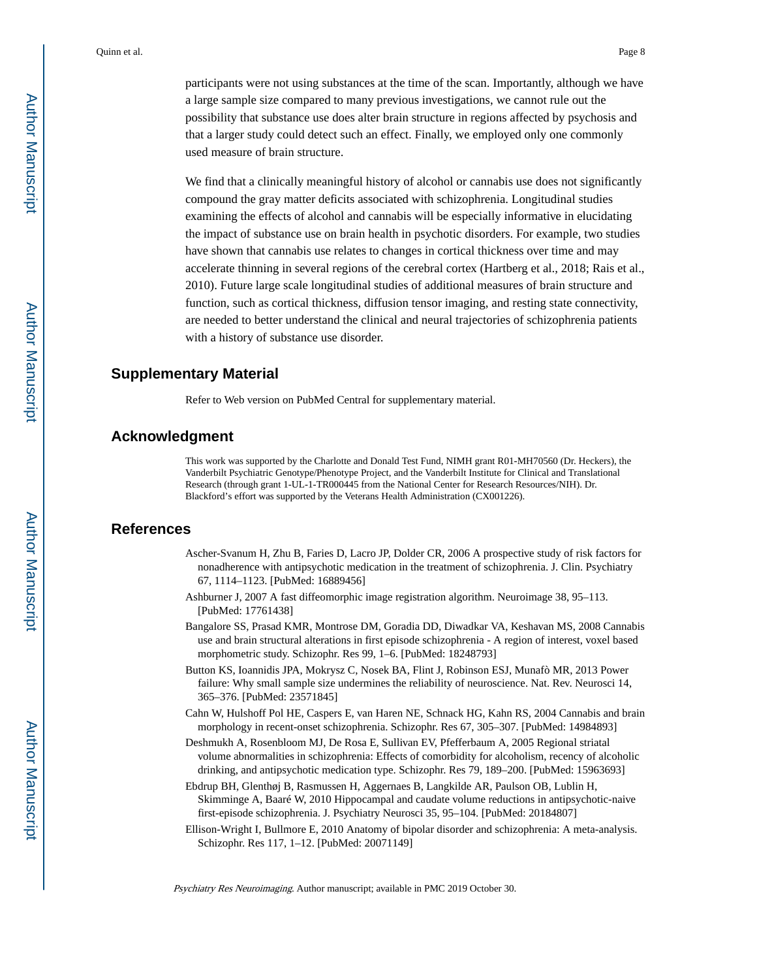participants were not using substances at the time of the scan. Importantly, although we have a large sample size compared to many previous investigations, we cannot rule out the possibility that substance use does alter brain structure in regions affected by psychosis and that a larger study could detect such an effect. Finally, we employed only one commonly used measure of brain structure.

We find that a clinically meaningful history of alcohol or cannabis use does not significantly compound the gray matter deficits associated with schizophrenia. Longitudinal studies examining the effects of alcohol and cannabis will be especially informative in elucidating the impact of substance use on brain health in psychotic disorders. For example, two studies have shown that cannabis use relates to changes in cortical thickness over time and may accelerate thinning in several regions of the cerebral cortex (Hartberg et al., 2018; Rais et al., 2010). Future large scale longitudinal studies of additional measures of brain structure and function, such as cortical thickness, diffusion tensor imaging, and resting state connectivity, are needed to better understand the clinical and neural trajectories of schizophrenia patients with a history of substance use disorder.

#### **Supplementary Material**

Refer to Web version on PubMed Central for supplementary material.

#### **Acknowledgment**

This work was supported by the Charlotte and Donald Test Fund, NIMH grant R01-MH70560 (Dr. Heckers), the Vanderbilt Psychiatric Genotype/Phenotype Project, and the Vanderbilt Institute for Clinical and Translational Research (through grant 1-UL-1-TR000445 from the National Center for Research Resources/NIH). Dr. Blackford's effort was supported by the Veterans Health Administration (CX001226).

## **References**

- Ascher-Svanum H, Zhu B, Faries D, Lacro JP, Dolder CR, 2006 A prospective study of risk factors for nonadherence with antipsychotic medication in the treatment of schizophrenia. J. Clin. Psychiatry 67, 1114–1123. [PubMed: 16889456]
- Ashburner J, 2007 A fast diffeomorphic image registration algorithm. Neuroimage 38, 95–113. [PubMed: 17761438]
- Bangalore SS, Prasad KMR, Montrose DM, Goradia DD, Diwadkar VA, Keshavan MS, 2008 Cannabis use and brain structural alterations in first episode schizophrenia - A region of interest, voxel based morphometric study. Schizophr. Res 99, 1–6. [PubMed: 18248793]
- Button KS, Ioannidis JPA, Mokrysz C, Nosek BA, Flint J, Robinson ESJ, Munafò MR, 2013 Power failure: Why small sample size undermines the reliability of neuroscience. Nat. Rev. Neurosci 14, 365–376. [PubMed: 23571845]
- Cahn W, Hulshoff Pol HE, Caspers E, van Haren NE, Schnack HG, Kahn RS, 2004 Cannabis and brain morphology in recent-onset schizophrenia. Schizophr. Res 67, 305–307. [PubMed: 14984893]
- Deshmukh A, Rosenbloom MJ, De Rosa E, Sullivan EV, Pfefferbaum A, 2005 Regional striatal volume abnormalities in schizophrenia: Effects of comorbidity for alcoholism, recency of alcoholic drinking, and antipsychotic medication type. Schizophr. Res 79, 189–200. [PubMed: 15963693]
- Ebdrup BH, Glenthøj B, Rasmussen H, Aggernaes B, Langkilde AR, Paulson OB, Lublin H, Skimminge A, Baaré W, 2010 Hippocampal and caudate volume reductions in antipsychotic-naive first-episode schizophrenia. J. Psychiatry Neurosci 35, 95–104. [PubMed: 20184807]
- Ellison-Wright I, Bullmore E, 2010 Anatomy of bipolar disorder and schizophrenia: A meta-analysis. Schizophr. Res 117, 1–12. [PubMed: 20071149]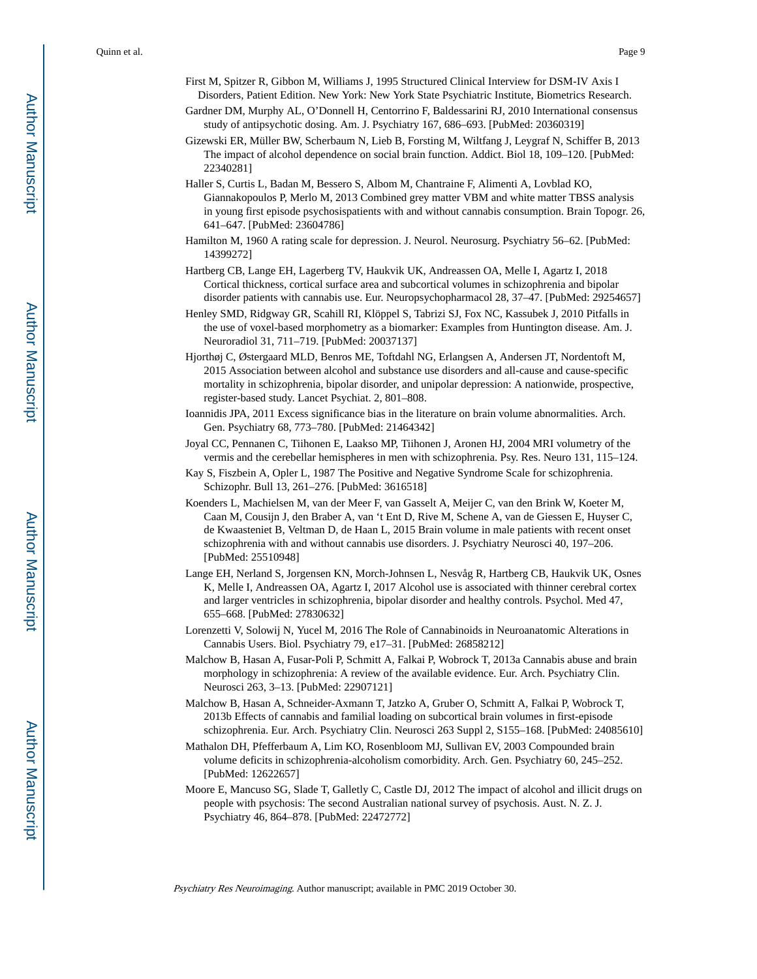- First M, Spitzer R, Gibbon M, Williams J, 1995 Structured Clinical Interview for DSM-IV Axis I Disorders, Patient Edition. New York: New York State Psychiatric Institute, Biometrics Research.
- Gardner DM, Murphy AL, O'Donnell H, Centorrino F, Baldessarini RJ, 2010 International consensus study of antipsychotic dosing. Am. J. Psychiatry 167, 686–693. [PubMed: 20360319]
- Gizewski ER, Müller BW, Scherbaum N, Lieb B, Forsting M, Wiltfang J, Leygraf N, Schiffer B, 2013 The impact of alcohol dependence on social brain function. Addict. Biol 18, 109–120. [PubMed: 22340281]
- Haller S, Curtis L, Badan M, Bessero S, Albom M, Chantraine F, Alimenti A, Lovblad KO, Giannakopoulos P, Merlo M, 2013 Combined grey matter VBM and white matter TBSS analysis in young first episode psychosispatients with and without cannabis consumption. Brain Topogr. 26, 641–647. [PubMed: 23604786]
- Hamilton M, 1960 A rating scale for depression. J. Neurol. Neurosurg. Psychiatry 56–62. [PubMed: 14399272]
- Hartberg CB, Lange EH, Lagerberg TV, Haukvik UK, Andreassen OA, Melle I, Agartz I, 2018 Cortical thickness, cortical surface area and subcortical volumes in schizophrenia and bipolar disorder patients with cannabis use. Eur. Neuropsychopharmacol 28, 37–47. [PubMed: 29254657]
- Henley SMD, Ridgway GR, Scahill RI, Klöppel S, Tabrizi SJ, Fox NC, Kassubek J, 2010 Pitfalls in the use of voxel-based morphometry as a biomarker: Examples from Huntington disease. Am. J. Neuroradiol 31, 711–719. [PubMed: 20037137]
- Hjorthøj C, Østergaard MLD, Benros ME, Toftdahl NG, Erlangsen A, Andersen JT, Nordentoft M, 2015 Association between alcohol and substance use disorders and all-cause and cause-specific mortality in schizophrenia, bipolar disorder, and unipolar depression: A nationwide, prospective, register-based study. Lancet Psychiat. 2, 801–808.
- Ioannidis JPA, 2011 Excess significance bias in the literature on brain volume abnormalities. Arch. Gen. Psychiatry 68, 773–780. [PubMed: 21464342]
- Joyal CC, Pennanen C, Tiihonen E, Laakso MP, Tiihonen J, Aronen HJ, 2004 MRI volumetry of the vermis and the cerebellar hemispheres in men with schizophrenia. Psy. Res. Neuro 131, 115–124.
- Kay S, Fiszbein A, Opler L, 1987 The Positive and Negative Syndrome Scale for schizophrenia. Schizophr. Bull 13, 261–276. [PubMed: 3616518]
- Koenders L, Machielsen M, van der Meer F, van Gasselt A, Meijer C, van den Brink W, Koeter M, Caan M, Cousijn J, den Braber A, van 't Ent D, Rive M, Schene A, van de Giessen E, Huyser C, de Kwaasteniet B, Veltman D, de Haan L, 2015 Brain volume in male patients with recent onset schizophrenia with and without cannabis use disorders. J. Psychiatry Neurosci 40, 197–206. [PubMed: 25510948]
- Lange EH, Nerland S, Jorgensen KN, Morch-Johnsen L, Nesvåg R, Hartberg CB, Haukvik UK, Osnes K, Melle I, Andreassen OA, Agartz I, 2017 Alcohol use is associated with thinner cerebral cortex and larger ventricles in schizophrenia, bipolar disorder and healthy controls. Psychol. Med 47, 655–668. [PubMed: 27830632]
- Lorenzetti V, Solowij N, Yucel M, 2016 The Role of Cannabinoids in Neuroanatomic Alterations in Cannabis Users. Biol. Psychiatry 79, e17–31. [PubMed: 26858212]
- Malchow B, Hasan A, Fusar-Poli P, Schmitt A, Falkai P, Wobrock T, 2013a Cannabis abuse and brain morphology in schizophrenia: A review of the available evidence. Eur. Arch. Psychiatry Clin. Neurosci 263, 3–13. [PubMed: 22907121]
- Malchow B, Hasan A, Schneider-Axmann T, Jatzko A, Gruber O, Schmitt A, Falkai P, Wobrock T, 2013b Effects of cannabis and familial loading on subcortical brain volumes in first-episode schizophrenia. Eur. Arch. Psychiatry Clin. Neurosci 263 Suppl 2, S155–168. [PubMed: 24085610]
- Mathalon DH, Pfefferbaum A, Lim KO, Rosenbloom MJ, Sullivan EV, 2003 Compounded brain volume deficits in schizophrenia-alcoholism comorbidity. Arch. Gen. Psychiatry 60, 245–252. [PubMed: 12622657]
- Moore E, Mancuso SG, Slade T, Galletly C, Castle DJ, 2012 The impact of alcohol and illicit drugs on people with psychosis: The second Australian national survey of psychosis. Aust. N. Z. J. Psychiatry 46, 864–878. [PubMed: 22472772]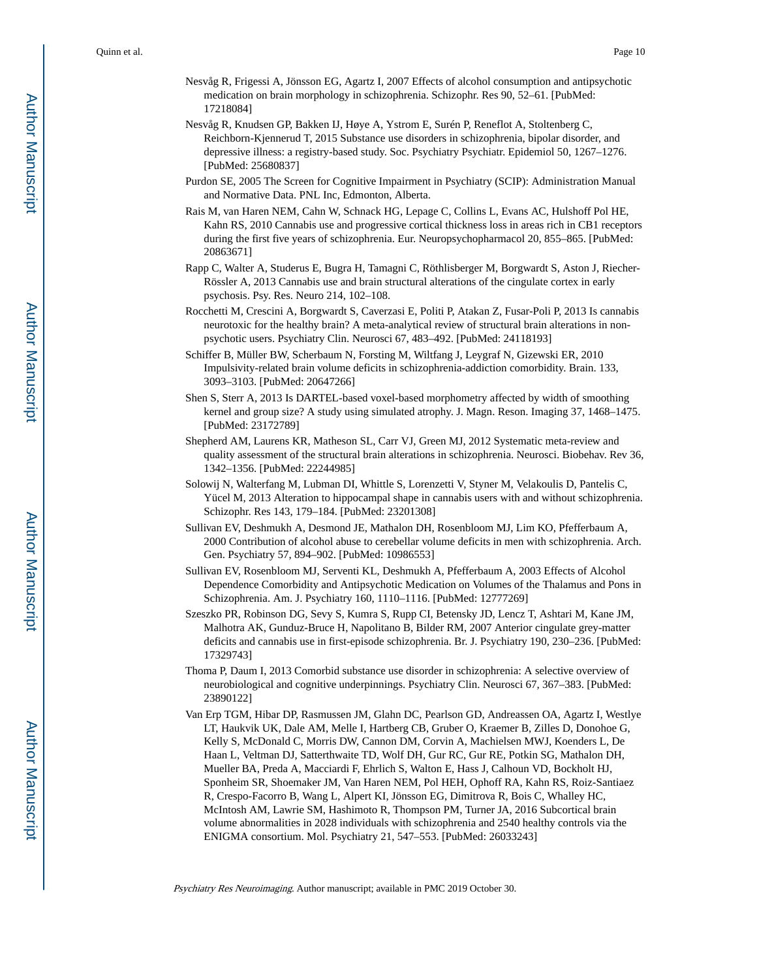- Nesvåg R, Frigessi A, Jönsson EG, Agartz I, 2007 Effects of alcohol consumption and antipsychotic medication on brain morphology in schizophrenia. Schizophr. Res 90, 52–61. [PubMed: 17218084]
- Nesvåg R, Knudsen GP, Bakken IJ, Høye A, Ystrom E, Surén P, Reneflot A, Stoltenberg C, Reichborn-Kjennerud T, 2015 Substance use disorders in schizophrenia, bipolar disorder, and depressive illness: a registry-based study. Soc. Psychiatry Psychiatr. Epidemiol 50, 1267–1276. [PubMed: 25680837]
- Purdon SE, 2005 The Screen for Cognitive Impairment in Psychiatry (SCIP): Administration Manual and Normative Data. PNL Inc, Edmonton, Alberta.
- Rais M, van Haren NEM, Cahn W, Schnack HG, Lepage C, Collins L, Evans AC, Hulshoff Pol HE, Kahn RS, 2010 Cannabis use and progressive cortical thickness loss in areas rich in CB1 receptors during the first five years of schizophrenia. Eur. Neuropsychopharmacol 20, 855–865. [PubMed: 20863671]
- Rapp C, Walter A, Studerus E, Bugra H, Tamagni C, Röthlisberger M, Borgwardt S, Aston J, Riecher-Rössler A, 2013 Cannabis use and brain structural alterations of the cingulate cortex in early psychosis. Psy. Res. Neuro 214, 102–108.
- Rocchetti M, Crescini A, Borgwardt S, Caverzasi E, Politi P, Atakan Z, Fusar-Poli P, 2013 Is cannabis neurotoxic for the healthy brain? A meta-analytical review of structural brain alterations in nonpsychotic users. Psychiatry Clin. Neurosci 67, 483–492. [PubMed: 24118193]
- Schiffer B, Müller BW, Scherbaum N, Forsting M, Wiltfang J, Leygraf N, Gizewski ER, 2010 Impulsivity-related brain volume deficits in schizophrenia-addiction comorbidity. Brain. 133, 3093–3103. [PubMed: 20647266]
- Shen S, Sterr A, 2013 Is DARTEL-based voxel-based morphometry affected by width of smoothing kernel and group size? A study using simulated atrophy. J. Magn. Reson. Imaging 37, 1468–1475. [PubMed: 23172789]
- Shepherd AM, Laurens KR, Matheson SL, Carr VJ, Green MJ, 2012 Systematic meta-review and quality assessment of the structural brain alterations in schizophrenia. Neurosci. Biobehav. Rev 36, 1342–1356. [PubMed: 22244985]
- Solowij N, Walterfang M, Lubman DI, Whittle S, Lorenzetti V, Styner M, Velakoulis D, Pantelis C, Yücel M, 2013 Alteration to hippocampal shape in cannabis users with and without schizophrenia. Schizophr. Res 143, 179–184. [PubMed: 23201308]
- Sullivan EV, Deshmukh A, Desmond JE, Mathalon DH, Rosenbloom MJ, Lim KO, Pfefferbaum A, 2000 Contribution of alcohol abuse to cerebellar volume deficits in men with schizophrenia. Arch. Gen. Psychiatry 57, 894–902. [PubMed: 10986553]
- Sullivan EV, Rosenbloom MJ, Serventi KL, Deshmukh A, Pfefferbaum A, 2003 Effects of Alcohol Dependence Comorbidity and Antipsychotic Medication on Volumes of the Thalamus and Pons in Schizophrenia. Am. J. Psychiatry 160, 1110–1116. [PubMed: 12777269]
- Szeszko PR, Robinson DG, Sevy S, Kumra S, Rupp CI, Betensky JD, Lencz T, Ashtari M, Kane JM, Malhotra AK, Gunduz-Bruce H, Napolitano B, Bilder RM, 2007 Anterior cingulate grey-matter deficits and cannabis use in first-episode schizophrenia. Br. J. Psychiatry 190, 230–236. [PubMed: 17329743]
- Thoma P, Daum I, 2013 Comorbid substance use disorder in schizophrenia: A selective overview of neurobiological and cognitive underpinnings. Psychiatry Clin. Neurosci 67, 367–383. [PubMed: 23890122]
- Van Erp TGM, Hibar DP, Rasmussen JM, Glahn DC, Pearlson GD, Andreassen OA, Agartz I, Westlye LT, Haukvik UK, Dale AM, Melle I, Hartberg CB, Gruber O, Kraemer B, Zilles D, Donohoe G, Kelly S, McDonald C, Morris DW, Cannon DM, Corvin A, Machielsen MWJ, Koenders L, De Haan L, Veltman DJ, Satterthwaite TD, Wolf DH, Gur RC, Gur RE, Potkin SG, Mathalon DH, Mueller BA, Preda A, Macciardi F, Ehrlich S, Walton E, Hass J, Calhoun VD, Bockholt HJ, Sponheim SR, Shoemaker JM, Van Haren NEM, Pol HEH, Ophoff RA, Kahn RS, Roiz-Santiaez R, Crespo-Facorro B, Wang L, Alpert KI, Jönsson EG, Dimitrova R, Bois C, Whalley HC, McIntosh AM, Lawrie SM, Hashimoto R, Thompson PM, Turner JA, 2016 Subcortical brain volume abnormalities in 2028 individuals with schizophrenia and 2540 healthy controls via the ENIGMA consortium. Mol. Psychiatry 21, 547–553. [PubMed: 26033243]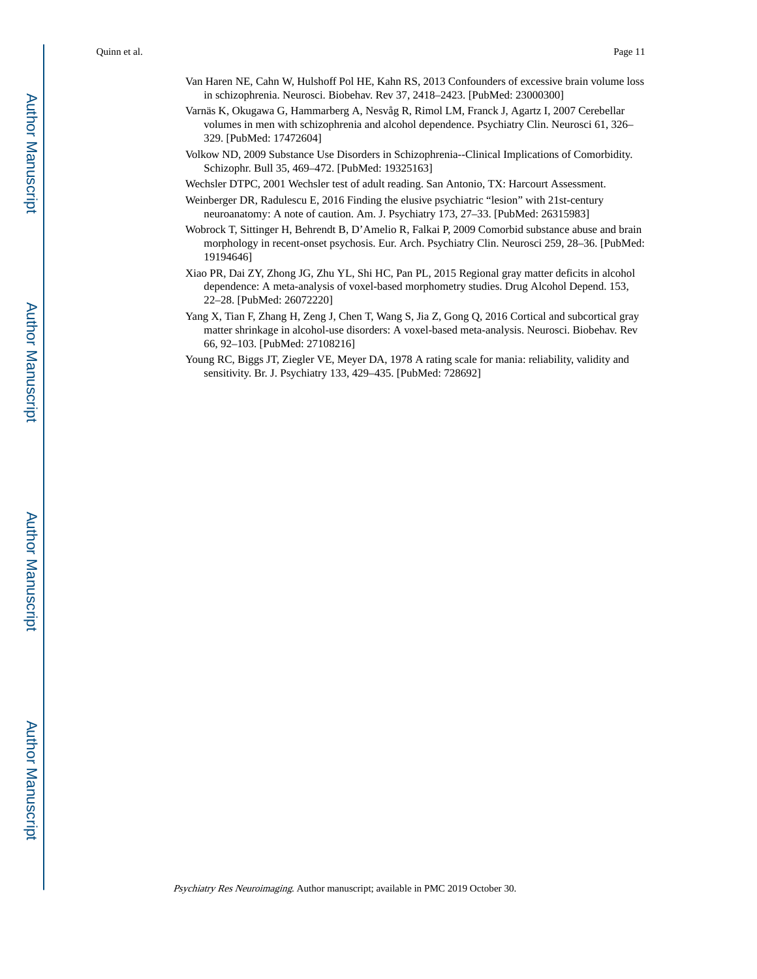- Van Haren NE, Cahn W, Hulshoff Pol HE, Kahn RS, 2013 Confounders of excessive brain volume loss in schizophrenia. Neurosci. Biobehav. Rev 37, 2418–2423. [PubMed: 23000300]
- Varnäs K, Okugawa G, Hammarberg A, Nesvåg R, Rimol LM, Franck J, Agartz I, 2007 Cerebellar volumes in men with schizophrenia and alcohol dependence. Psychiatry Clin. Neurosci 61, 326– 329. [PubMed: 17472604]
- Volkow ND, 2009 Substance Use Disorders in Schizophrenia--Clinical Implications of Comorbidity. Schizophr. Bull 35, 469–472. [PubMed: 19325163]
- Wechsler DTPC, 2001 Wechsler test of adult reading. San Antonio, TX: Harcourt Assessment.
- Weinberger DR, Radulescu E, 2016 Finding the elusive psychiatric "lesion" with 21st-century neuroanatomy: A note of caution. Am. J. Psychiatry 173, 27–33. [PubMed: 26315983]
- Wobrock T, Sittinger H, Behrendt B, D'Amelio R, Falkai P, 2009 Comorbid substance abuse and brain morphology in recent-onset psychosis. Eur. Arch. Psychiatry Clin. Neurosci 259, 28–36. [PubMed: 19194646]
- Xiao PR, Dai ZY, Zhong JG, Zhu YL, Shi HC, Pan PL, 2015 Regional gray matter deficits in alcohol dependence: A meta-analysis of voxel-based morphometry studies. Drug Alcohol Depend. 153, 22–28. [PubMed: 26072220]
- Yang X, Tian F, Zhang H, Zeng J, Chen T, Wang S, Jia Z, Gong Q, 2016 Cortical and subcortical gray matter shrinkage in alcohol-use disorders: A voxel-based meta-analysis. Neurosci. Biobehav. Rev 66, 92–103. [PubMed: 27108216]
- Young RC, Biggs JT, Ziegler VE, Meyer DA, 1978 A rating scale for mania: reliability, validity and sensitivity. Br. J. Psychiatry 133, 429–435. [PubMed: 728692]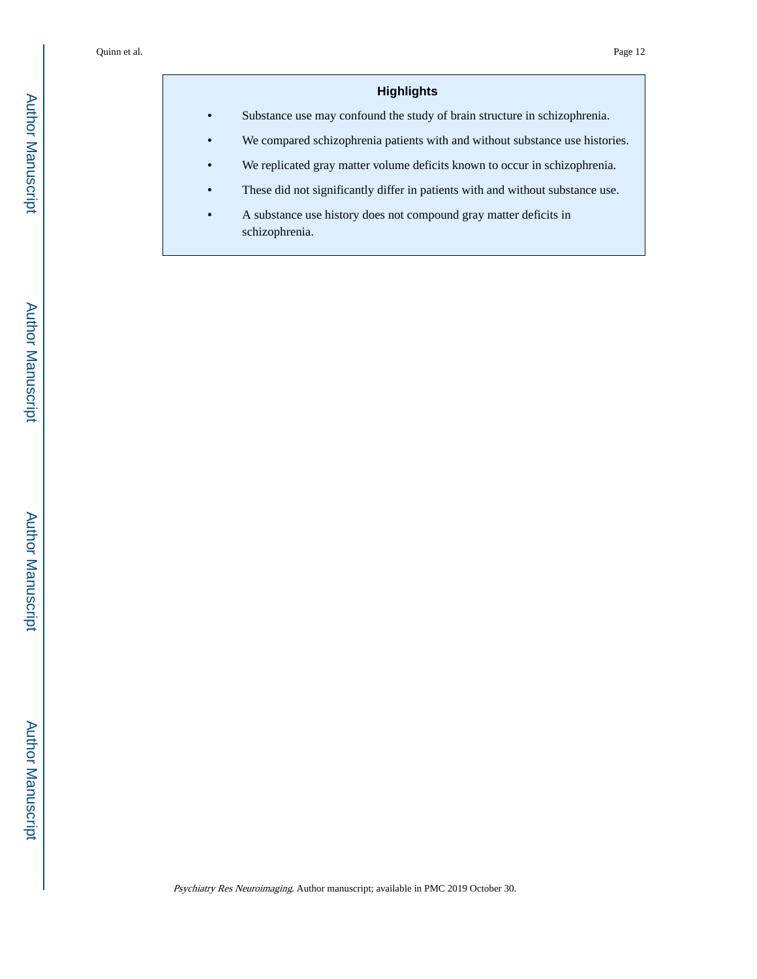## **Highlights**

**•** Substance use may confound the study of brain structure in schizophrenia.

- We compared schizophrenia patients with and without substance use histories.
- We replicated gray matter volume deficits known to occur in schizophrenia.
- **•** These did not significantly differ in patients with and without substance use.
- **•** A substance use history does not compound gray matter deficits in schizophrenia.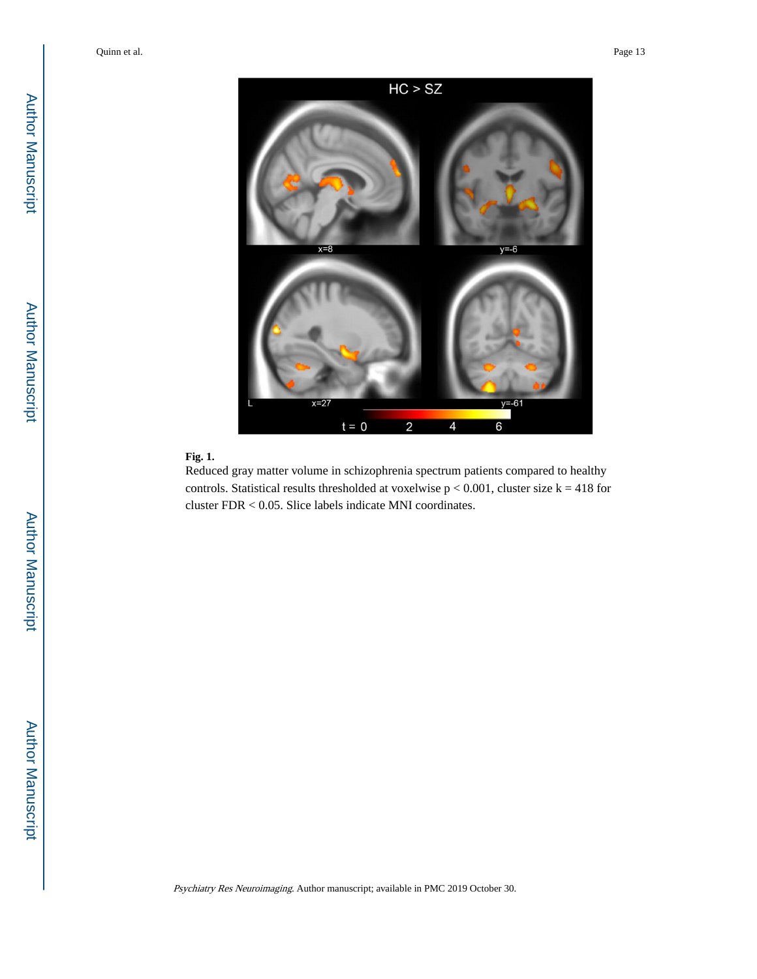

## **Fig. 1.**

Reduced gray matter volume in schizophrenia spectrum patients compared to healthy controls. Statistical results thresholded at voxelwise  $p < 0.001$ , cluster size  $k = 418$  for cluster FDR < 0.05. Slice labels indicate MNI coordinates.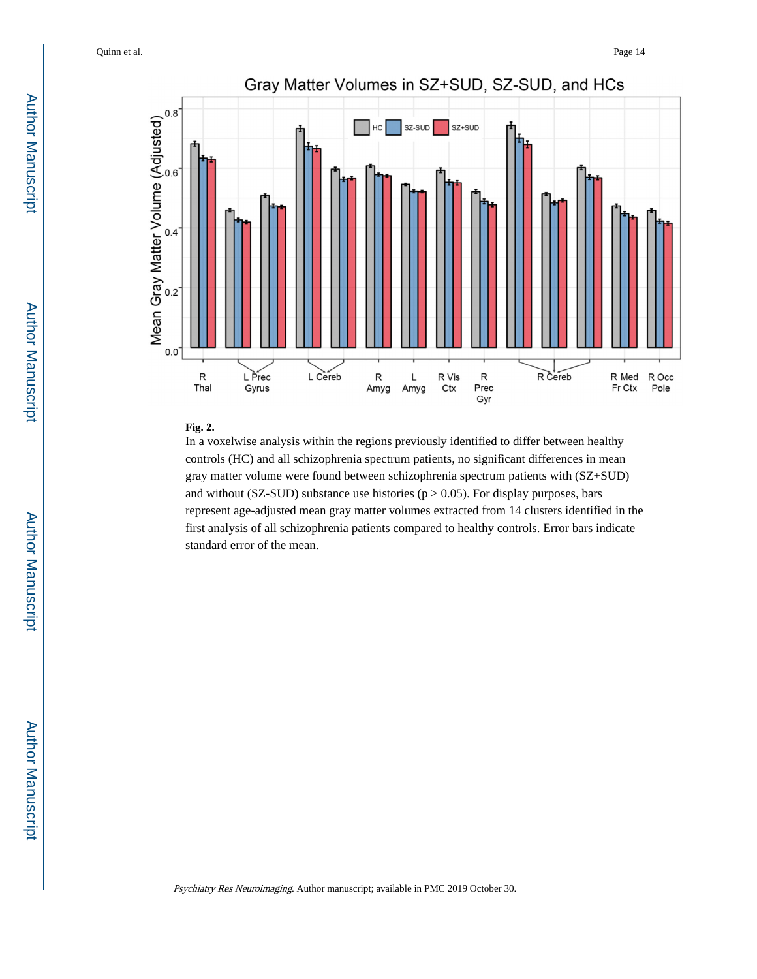

#### **Fig. 2.**

In a voxelwise analysis within the regions previously identified to differ between healthy controls (HC) and all schizophrenia spectrum patients, no significant differences in mean gray matter volume were found between schizophrenia spectrum patients with (SZ+SUD) and without (SZ-SUD) substance use histories ( $p > 0.05$ ). For display purposes, bars represent age-adjusted mean gray matter volumes extracted from 14 clusters identified in the first analysis of all schizophrenia patients compared to healthy controls. Error bars indicate standard error of the mean.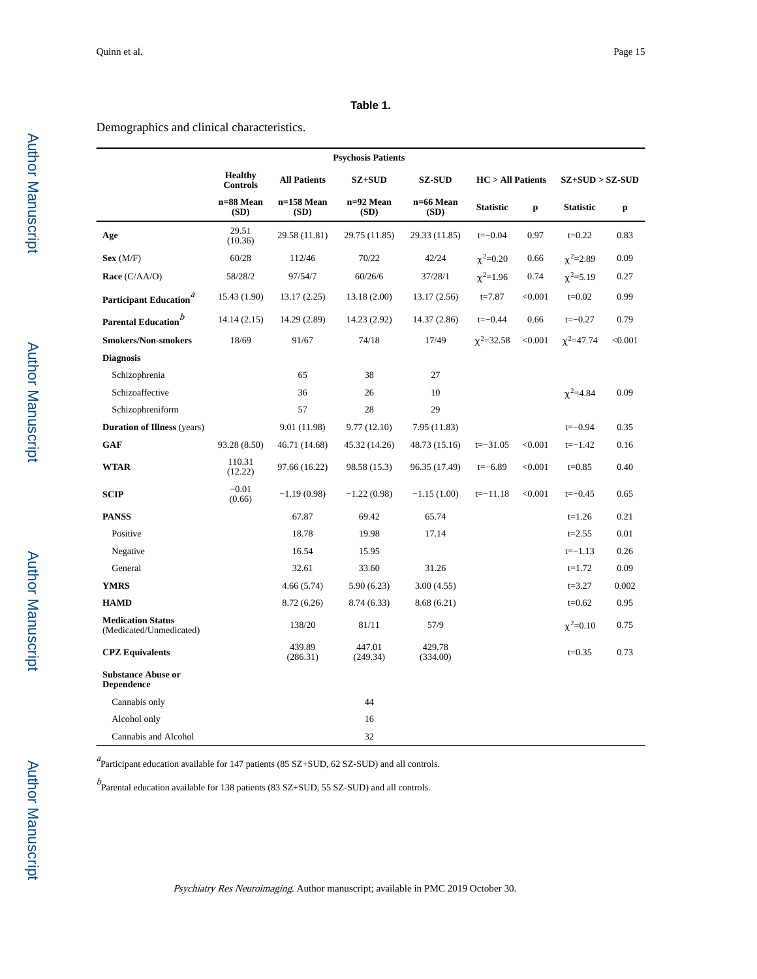#### **Table 1.**

#### Demographics and clinical characteristics.

| <b>Psychosis Patients</b>                           |                                   |                     |                    |                    |                     |              |                   |         |  |  |  |
|-----------------------------------------------------|-----------------------------------|---------------------|--------------------|--------------------|---------------------|--------------|-------------------|---------|--|--|--|
|                                                     | <b>Healthy</b><br><b>Controls</b> | <b>All Patients</b> | $SZ+SUD$           | <b>SZ-SUD</b>      | $HC > All$ Patients |              | $SZ+SUB > SZ-SUD$ |         |  |  |  |
|                                                     | n=88 Mean<br>(SD)                 | n=158 Mean<br>(SD)  | n=92 Mean<br>(SD)  | n=66 Mean<br>(SD)  | <b>Statistic</b>    | $\mathbf{p}$ | <b>Statistic</b>  | p       |  |  |  |
| Age                                                 | 29.51<br>(10.36)                  | 29.58 (11.81)       | 29.75 (11.85)      | 29.33 (11.85)      | $t = -0.04$         | 0.97         | $t = 0.22$        | 0.83    |  |  |  |
| Sex(M/F)                                            | 60/28                             | 112/46              | 70/22              | 42/24              | $\chi^2 = 0.20$     | 0.66         | $\chi^2 = 2.89$   | 0.09    |  |  |  |
| Race (C/AA/O)                                       | 58/28/2                           | 97/54/7             | 60/26/6            | 37/28/1            | $\chi^2$ =1.96      | 0.74         | $\chi^2 = 5.19$   | 0.27    |  |  |  |
| Participant Education <sup>2</sup>                  | 15.43 (1.90)                      | 13.17(2.25)         | 13.18 (2.00)       | 13.17(2.56)        | $t = 7.87$          | < 0.001      | $t = 0.02$        | 0.99    |  |  |  |
| Parental Education <sup>b</sup>                     | 14.14(2.15)                       | 14.29 (2.89)        | 14.23 (2.92)       | 14.37 (2.86)       | $t=-0.44$           | 0.66         | $t=-0.27$         | 0.79    |  |  |  |
| <b>Smokers/Non-smokers</b>                          | 18/69                             | 91/67               | 74/18              | 17/49              | $\chi^2 = 32.58$    | < 0.001      | $\chi^2 = 47.74$  | < 0.001 |  |  |  |
| <b>Diagnosis</b>                                    |                                   |                     |                    |                    |                     |              |                   |         |  |  |  |
| Schizophrenia                                       |                                   | 65                  | 38                 | 27                 |                     |              |                   |         |  |  |  |
| Schizoaffective                                     |                                   | 36                  | 26                 | 10                 |                     |              | $\chi^2$ = 4.84   | 0.09    |  |  |  |
| Schizophreniform                                    |                                   | 57                  | 28                 | 29                 |                     |              |                   |         |  |  |  |
| <b>Duration of Illness (years)</b>                  |                                   | 9.01 (11.98)        | 9.77(12.10)        | 7.95 (11.83)       |                     |              | $t = -0.94$       | 0.35    |  |  |  |
| <b>GAF</b>                                          | 93.28 (8.50)                      | 46.71 (14.68)       | 45.32 (14.26)      | 48.73 (15.16)      | $t=-31.05$          | < 0.001      | $t = -1.42$       | 0.16    |  |  |  |
| <b>WTAR</b>                                         | 110.31<br>(12.22)                 | 97.66 (16.22)       | 98.58 (15.3)       | 96.35 (17.49)      | $t=-6.89$           | < 0.001      | $t = 0.85$        | 0.40    |  |  |  |
| <b>SCIP</b>                                         | $-0.01$<br>(0.66)                 | $-1.19(0.98)$       | $-1.22(0.98)$      | $-1.15(1.00)$      | $t=-11.18$          | < 0.001      | $t = -0.45$       | 0.65    |  |  |  |
| <b>PANSS</b>                                        |                                   | 67.87               | 69.42              | 65.74              |                     |              | $t=1.26$          | 0.21    |  |  |  |
| Positive                                            |                                   | 18.78               | 19.98              | 17.14              |                     |              | $t = 2.55$        | 0.01    |  |  |  |
| Negative                                            |                                   | 16.54               | 15.95              |                    |                     |              | $t=-1.13$         | 0.26    |  |  |  |
| General                                             |                                   | 32.61               | 33.60              | 31.26              |                     |              | $t=1.72$          | 0.09    |  |  |  |
| <b>YMRS</b>                                         |                                   | 4.66(5.74)          | 5.90(6.23)         | 3.00(4.55)         |                     |              | $t = 3.27$        | 0.002   |  |  |  |
| <b>HAMD</b>                                         |                                   | 8.72 (6.26)         | 8.74 (6.33)        | 8.68(6.21)         |                     |              | $t = 0.62$        | 0.95    |  |  |  |
| <b>Medication Status</b><br>(Medicated/Unmedicated) |                                   | 138/20              | 81/11              | 57/9               |                     |              | $\chi^2 = 0.10$   | 0.75    |  |  |  |
| <b>CPZ</b> Equivalents                              |                                   | 439.89<br>(286.31)  | 447.01<br>(249.34) | 429.78<br>(334.00) |                     |              | $t = 0.35$        | 0.73    |  |  |  |
| <b>Substance Abuse or</b><br><b>Dependence</b>      |                                   |                     |                    |                    |                     |              |                   |         |  |  |  |
| Cannabis only                                       |                                   |                     | 44                 |                    |                     |              |                   |         |  |  |  |
| Alcohol only                                        |                                   |                     | 16                 |                    |                     |              |                   |         |  |  |  |
| Cannabis and Alcohol                                |                                   |                     | 32                 |                    |                     |              |                   |         |  |  |  |

 $^a$ Participant education available for 147 patients (85 SZ+SUD, 62 SZ-SUD) and all controls.

 $b$ <br>Parental education available for 138 patients (83 SZ+SUD, 55 SZ-SUD) and all controls.